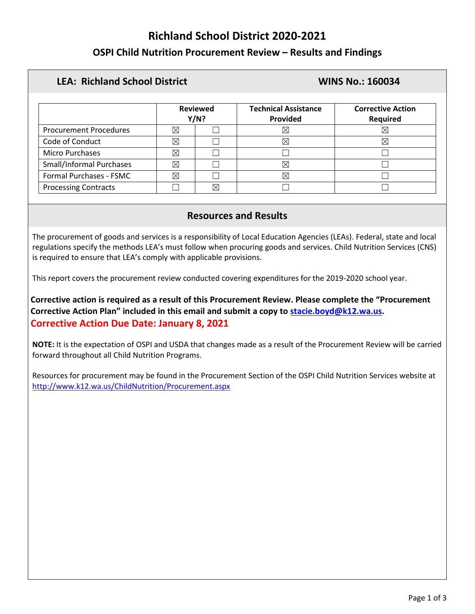# **Richland School District 2020-2021**

# **OSPI Child Nutrition Procurement Review – Results and Findings**

## **LEA: Richland School District WINS No.: 160034**

|                                 | <b>Reviewed</b><br>Y/N? |  | <b>Technical Assistance</b><br>Provided | <b>Corrective Action</b><br><b>Required</b> |
|---------------------------------|-------------------------|--|-----------------------------------------|---------------------------------------------|
| <b>Procurement Procedures</b>   |                         |  | $\times$                                |                                             |
| Code of Conduct                 |                         |  | $\times$                                | ⋉                                           |
| <b>Micro Purchases</b>          |                         |  |                                         |                                             |
| <b>Small/Informal Purchases</b> | ⊠                       |  | $\times$                                |                                             |
| Formal Purchases - FSMC         | X                       |  | X                                       |                                             |
| <b>Processing Contracts</b>     |                         |  |                                         |                                             |

## **Resources and Results**

The procurement of goods and services is a responsibility of Local Education Agencies (LEAs). Federal, state and local regulations specify the methods LEA's must follow when procuring goods and services. Child Nutrition Services (CNS) is required to ensure that LEA's comply with applicable provisions.

This report covers the procurement review conducted covering expenditures for the 2019-2020 school year.

**Corrective action is required as a result of this Procurement Review. Please complete the "Procurement Corrective Action Plan" included in this email and submit a copy to [stacie.boyd@k12.wa.us.](mailto:stacie.boyd@k12.wa.us) Corrective Action Due Date: January 8, 2021**

**NOTE:** It is the expectation of OSPI and USDA that changes made as a result of the Procurement Review will be carried forward throughout all Child Nutrition Programs.

Resources for procurement may be found in the Procurement Section of the OSPI Child Nutrition Services website at <http://www.k12.wa.us/ChildNutrition/Procurement.aspx>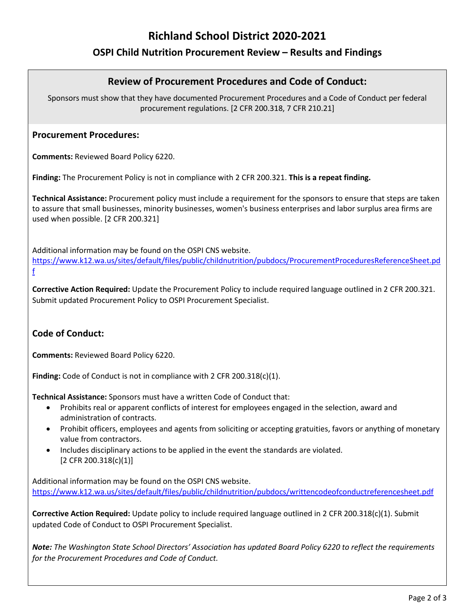# **Richland School District 2020-2021**

# **OSPI Child Nutrition Procurement Review – Results and Findings**

### **Review of Procurement Procedures and Code of Conduct:**

Sponsors must show that they have documented Procurement Procedures and a Code of Conduct per federal procurement regulations. [2 CFR 200.318, 7 CFR 210.21]

#### **Procurement Procedures:**

**Comments:** Reviewed Board Policy 6220.

**Finding:** The Procurement Policy is not in compliance with 2 CFR 200.321. **This is a repeat finding.**

**Technical Assistance:** Procurement policy must include a requirement for the sponsors to ensure that steps are taken to assure that small businesses, minority businesses, women's business enterprises and labor surplus area firms are used when possible. [2 CFR 200.321]

Additional information may be found on the OSPI CNS website. [https://www.k12.wa.us/sites/default/files/public/childnutrition/pubdocs/ProcurementProceduresReferenceSheet.pd](https://www.k12.wa.us/sites/default/files/public/childnutrition/pubdocs/ProcurementProceduresReferenceSheet.pdf) [f](https://www.k12.wa.us/sites/default/files/public/childnutrition/pubdocs/ProcurementProceduresReferenceSheet.pdf)

**Corrective Action Required:** Update the Procurement Policy to include required language outlined in 2 CFR 200.321. Submit updated Procurement Policy to OSPI Procurement Specialist.

#### **Code of Conduct:**

**Comments:** Reviewed Board Policy 6220.

**Finding:** Code of Conduct is not in compliance with 2 CFR 200.318(c)(1).

**Technical Assistance:** Sponsors must have a written Code of Conduct that:

- Prohibits real or apparent conflicts of interest for employees engaged in the selection, award and administration of contracts.
- Prohibit officers, employees and agents from soliciting or accepting gratuities, favors or anything of monetary value from contractors.
- Includes disciplinary actions to be applied in the event the standards are violated. [2 CFR 200.318(c)(1)]

Additional information may be found on the OSPI CNS website. <https://www.k12.wa.us/sites/default/files/public/childnutrition/pubdocs/writtencodeofconductreferencesheet.pdf>

**Corrective Action Required:** Update policy to include required language outlined in 2 CFR 200.318(c)(1). Submit updated Code of Conduct to OSPI Procurement Specialist.

*Note: The Washington State School Directors' Association has updated Board Policy 6220 to reflect the requirements for the Procurement Procedures and Code of Conduct.*